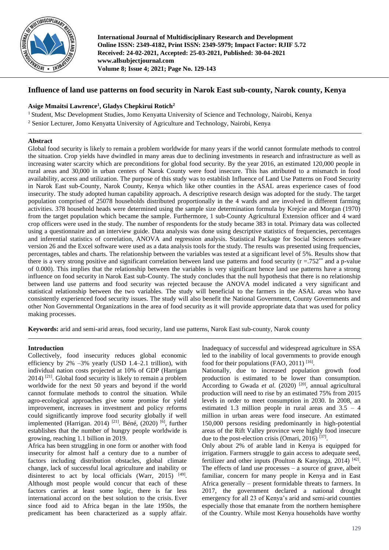

**International Journal of Multidisciplinary Research and Development Online ISSN: 2349-4182, Print ISSN: 2349-5979; Impact Factor: RJIF 5.72 Received: 24-02-2021, Accepted: 25-03-2021, Published: 30-04-2021 www.allsubjectjournal.com Volume 8; Issue 4; 2021; Page No. 129-143**

# **Influence of land use patterns on food security in Narok East sub-county, Narok county, Kenya**

# **Asige Mmaitsi Lawrence<sup>1</sup> , Gladys Chepkirui Rotich<sup>2</sup>**

<sup>1</sup> Student, Msc Development Studies, Jomo Kenyatta University of Science and Technology, Nairobi, Kenya <sup>2</sup> Senior Lecturer, Jomo Kenyatta University of Agriculture and Technology, Nairobi, Kenya

## **Abstract**

Global food security is likely to remain a problem worldwide for many years if the world cannot formulate methods to control the situation. Crop yields have dwindled in many areas due to declining investments in research and infrastructure as well as increasing water scarcity which are preconditions for global food security. By the year 2016, an estimated 120,000 people in rural areas and 30,000 in urban centers of Narok County were food insecure. This has attributed to a mismatch in food availability, access and utilization. The purpose of this study was to establish Influence of Land Use Patterns on Food Security in Narok East sub-County, Narok County, Kenya which like other counties in the ASAL areas experience cases of food insecurity. The study adopted human capability approach**.** A descriptive research design was adopted for the study. The target population comprised of 25078 households distributed proportionally in the 4 wards and are involved in different farming activities. 378 household heads were determined using the sample size determination formula by Krejcie and Morgan (1970) from the target population which became the sample. Furthermore, 1 sub-County Agricultural Extension officer and 4 ward crop officers were used in the study. The number of respondents for the study became 383 in total. Primary data was collected using a questionnaire and an interview guide. Data analysis was done using descriptive statistics of frequencies, percentages and inferential statistics of correlation, ANOVA and regression analysis. Statistical Package for Social Sciences software version 26 and the Excel software were used as a data analysis tools for the study. The results was presented using frequencies, percentages, tables and charts. The relationship between the variables was tested at a significant level of 5%. Results show that there is a very strong positive and significant correlation between land use patterns and food security ( $r = .752^{**}$  and a p-value of 0.000). This implies that the relationship between the variables is very significant hence land use patterns have a strong influence on food security in Narok East sub-County. The study concludes that the null hypothesis that there is no relationship between land use patterns and food security was rejected because the ANOVA model indicated a very significant and statistical relationship between the two variables. The study will beneficial to the farmers in the ASAL areas who have consistently experienced food security issues. The study will also benefit the National Government, County Governments and other Non Governmental Organizations in the area of food security as it will provide appropriate data that was used for policy making processes.

**Keywords:** arid and semi-arid areas, food security, land use patterns, Narok East sub-county, Narok county

## **Introduction**

Collectively, food insecurity reduces global economic efficiency by  $2\%$  –3% yearly (USD 1.4–2.1 trillion), with individual nation costs projected at 10% of GDP (Harrigan 2014) [21]. Global food security is likely to remain a problem worldwide for the next 50 years and beyond if the world cannot formulate methods to control the situation. While agro-ecological approaches give some promise for yield improvement, increases in investment and policy reforms could significantly improve food security globally if well implemented (Harrigan. 2014) [21]. Béné, (2020) [6], further establishes that the number of hungry people worldwide is growing, reaching 1.1 billion in 2019.

Africa has been struggling in one form or another with food insecurity for almost half a century due to a number of factors including distribution obstacles, global climate change, lack of successful local agriculture and inability or disinterest to act by local officials (Warr, 2015) <sup>[49]</sup>. Although most people would concur that each of these factors carries at least some logic, there is far less international accord on the best solution to the crisis. Ever since food aid to Africa began in the late 1950s, the predicament has been characterized as a supply affair.

Inadequacy of successful and widespread agriculture in SSA led to the inability of local governments to provide enough food for their populations (FAO, 2011)<sup>[16]</sup>.

Nationally, due to increased population growth food production is estimated to be lower than consumption. According to Gwada *et al.* (2020)<sup>[20]</sup>, annual agricultural production will need to rise by an estimated 75% from 2015 levels in order to meet consumption in 2030. In 2008, an estimated 1.3 million people in rural areas and 3.5 – 4 million in urban areas were food insecure. An estimated 150,000 persons residing predominantly in high-potential areas of the Rift Valley province were highly food insecure due to the post-election crisis (Omari, 2016)<sup>[37]</sup>.

Only about 2% of arable land in Kenya is equipped for irrigation. Farmers struggle to gain access to adequate seed, fertilizer and other inputs (Poulton & Kanyinga, 2014)<sup>[42]</sup>. The effects of land use processes  $-$  a source of grave, albeit familiar, concern for many people in Kenya and in East Africa generally – present formidable threats to farmers. In 2017, the government declared a national drought emergency for all 23 of Kenya's arid and semi-arid counties especially those that emanate from the northern hemisphere of the Country. While most Kenya households have worthy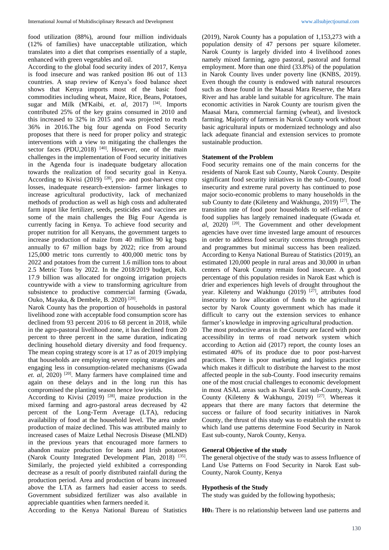food utilization (88%), around four million individuals (12% of families) have unacceptable utilization, which translates into a diet that comprises essentially of a staple, enhanced with green vegetables and oil.

According to the global food security index of 2017, Kenya is food insecure and was ranked position 86 out of 113 countries. A snap review of Kenya's food balance sheet shows that Kenya imports most of the basic food commodities including wheat, Maize, Rice, Beans, Potatoes, sugar and Milk (M'Kaibi, *et. al,* 2017)<sup>[34]</sup>. Imports contributed 25% of the key grains consumed in 2010 and this increased to 32% in 2015 and was projected to reach 36% in 2016.The big four agenda on Food Security proposes that there is need for proper policy and strategic interventions with a view to mitigating the challenges the sector faces (PDU,2018)  $[40]$ . However, one of the main challenges in the implementation of Food security initiatives in the Agenda four is inadequate budgetary allocation towards the realization of food security goal in Kenya. According to Kivisi (2019)  $[28]$ , pre- and post-harvest crop losses, inadequate research-extension- farmer linkages to increase agricultural productivity, lack of mechanized methods of production as well as high costs and adulterated farm input like fertilizer, seeds, pesticides and vaccines are some of the main challenges the Big Four Agenda is currently facing in Kenya. To achieve food security and proper nutrition for all Kenyans, the government targets to increase production of maize from 40 million 90 kg bags annually to 67 million bags by 2022; rice from around 125,000 metric tons currently to 400,000 metric tons by 2022 and potatoes from the current 1.6 million tons to about 2.5 Metric Tons by 2022. In the 2018/2019 budget, Ksh. 17.9 billion was allocated for ongoing irrigation projects countrywide with a view to transforming agriculture from subsistence to productive commercial farming (Gwada, Ouko, Mayaka, & Dembele, B. 2020) [20] .

Narok County has the proportion of households in pastoral livelihood zone with acceptable food consumption score has declined from 93 percent 2016 to 68 percent in 2018, while in the agro-pastoral livelihood zone, it has declined from 20 percent to three percent in the same duration, indicating declining household dietary diversity and food frequency. The mean coping strategy score is at 17 as of 2019 implying that households are employing severe coping strategies and engaging less in consumption-related mechanisms (Gwada et. al, 2020)<sup>[20]</sup>. Many farmers have complained time and again on these delays and in the long run this has compromised the planting season hence low yields.

According to Kivisi  $(2019)$  <sup>[28]</sup>, maize production in the mixed farming and agro-pastoral areas decreased by 42 percent of the Long-Term Average (LTA), reducing availability of food at the household level. The area under production of maize declined. This was attributed mainly to increased cases of Maize Lethal Necrosis Disease (MLND) in the previous years that encouraged more farmers to abandon maize production for beans and Irish potatoes (Narok County Integrated Development Plan, 2018)<sup>[35]</sup>. Similarly, the projected yield exhibited a corresponding decrease as a result of poorly distributed rainfall during the production period. Area and production of beans increased above the LTA as farmers had easier access to seeds. Government subsidized fertilizer was also available in appreciable quantities when farmers needed it.

According to the Kenya National Bureau of Statistics

(2019), Narok County has a population of 1,153,273 with a population density of 47 persons per square kilometer. Narok County is largely divided into 4 livelihood zones namely mixed farming, agro pastoral, pastoral and formal employment. More than one third (33.8%) of the population in Narok County lives under poverty line (KNBS, 2019). Even though the county is endowed with natural resources such as those found in the Maasai Mara Reserve, the Mara River and has arable land suitable for agriculture. The main economic activities in Narok County are tourism given the Maasai Mara, commercial farming (wheat), and livestock farming. Majority of farmers in Narok County work without basic agricultural inputs or modernized technology and also lack adequate financial and extension services to promote sustainable production.

#### **Statement of the Problem**

Food security remains one of the main concerns for the residents of Narok East sub County, Narok County. Despite significant food security initiatives in the sub-County, food insecurity and extreme rural poverty has continued to pose major socio-economic problems to many households in the sub County to date (Kileteny and Wakhungu, 2019)<sup>[27]</sup>. The transition rate of food poor households to self-reliance of food supplies has largely remained inadequate (Gwada *et. al*, 2020) [20]. The Government and other development agencies have over time invested large amount of resources in order to address food security concerns through projects and programmes but minimal success has been realized. According to Kenya National Bureau of Statistics (2019), an estimated 120,000 people in rural areas and 30,000 in urban centers of Narok County remain food insecure. A good percentage of this population resides in Narok East which is drier and experiences high levels of drought throughout the year. Kileteny and Wakhungu (2019) <sup>[27]</sup>, attributes food insecurity to low allocation of funds to the agricultural sector by Narok County government which has made it difficult to carry out the extension services to enhance farmer's knowledge in improving agricultural production.

The most productive areas in the County are faced with poor accessibility in terms of road network system which according to Action aid (2017) report, the county loses an estimated 40% of its produce due to poor post-harvest practices. There is poor marketing and logistics practice which makes it difficult to distribute the harvest to the most affected people in the sub-County. Food insecurity remains one of the most crucial challenges to economic development in most ASAL areas such as Narok East sub-County, Narok County (Kileteny & Wakhungu, 2019) <sup>[27]</sup>. Whereas it appears that there are many factors that determine the success or failure of food security initiatives in Narok County, the thrust of this study was to establish the extent to which land use patterns determine Food Security in Narok East sub-county, Narok County, Kenya.

#### **General Objective of the study**

The general objective of the study was to assess Influence of Land Use Patterns on Food Security in Narok East sub-County, Narok County, Kenya

#### **Hypothesis of the Study**

The study was guided by the following hypothesis;

**H01:** There is no relationship between land use patterns and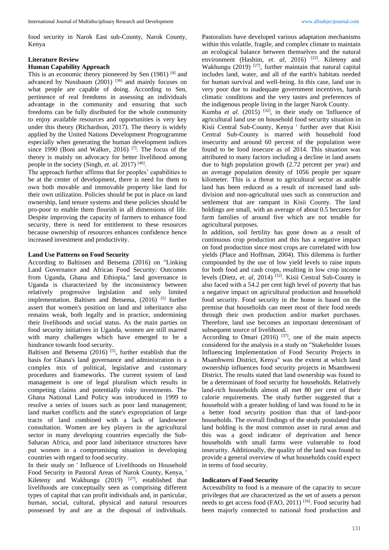food security in Narok East sub-County, Narok County, Kenya

## **Literature Review**

## **Human Capability Approach**

This is an economic theory pioneered by Sen (1981) [4] and advanced by Nussbaum (2001) <sup>[36]</sup> and mainly focuses on what people are capable of doing. According to Sen, pertinence of real freedoms in assessing an individuals advantage in the community and ensuring that such freedoms can be fully disributed for the whole community to enjoy available resources and opportunities is very key under this theory (Richardson, 2017). The theory is widely applied by the United Nations Development Progrogramme especially when generating the human development indices since 1990 (Boni and Walker, 2016)<sup>[7]</sup>. The focus of the theory is mainly on advocacy for better livelihood among people in the society (Singh, *et. al.* 2017)<sup>[46]</sup>.

The approach further affirms that for peoples' capabilities to be at the center of development, there is need for them to own both movable and immovable property like land for their own utilization. Policies should be put in place on land ownership, land tenure systems and these policies should be pro-poor to enable them flourish in all dimensions of life. Despite improving the capacity of farmers to enhance food security, there is need for entitlement to these resources because ownership of resources enhances confidence hence increased investment and productivity.

## **Land Use Patterns on Food Security**

According to Baltissen and Betsema (2016) on "Linking Land Governance and African Food Security: Outcomes from Uganda, Ghana and Ethiopia," land governance in Uganda is characterized by the inconsistency between relatively progressive legislation and only limited implementation. Baltisen and Betsema, (2016) <sup>[5]</sup> further assert that women's position on land and inheritance also remains weak, both legally and in practice, undermining their livelihoods and social status. As the main parties on food security initiatives in Uganda, women are still marred with many challenges which have emerged to be a hindrance towards food security.

Baltisen and Betsema  $(2016)$ <sup>[5]</sup>, further establish that the basis for Ghana's land governance and administration is a complex mix of political, legislative and customary procedures and frameworks. The current system of land management is one of legal pluralism which results in competing claims and potentially risky investments. The Ghana National Land Policy was introduced in 1999 to resolve a series of issues such as poor land management; land market conflicts and the state's expropriation of large tracts of land combined with a lack of landowner consultation. Women are key players in the agricultural sector in many developing countries especially the Sub-Saharan Africa, and poor land inheritance structures have put women in a compromising situation in developing countries with regard to food security.

In their study on ' Influence of Livelihoods on Household Food Security in Pastoral Areas of Narok County, Kenya, ' Kileteny and Wakhungu (2019)  $[27]$ , established that livelihoods are conceptually seen as comprising different types of capital that can profit individuals and, in particular, human, social, cultural, physical and natural resources possessed by and are at the disposal of individuals.

Pastoralists have developed various adaptation mechanisms within this volatile, fragile, and complex climate to maintain an ecological balance between themselves and the natural environment (Hashim, et. al, 2016)<sup>[22]</sup>. Kileteny and Wakhungu (2019)  $[27]$ , further maintain that natural capital includes land, water, and all of the earth's habitats needed for human survival and well-being. In this case, land use is very poor due to inadequate government incentives, harsh climatic conditions and the very tastes and preferences of the indigenous people living in the larger Narok County.

Kumba *et al.*  $(2015)$  <sup>[32]</sup>, in their study on 'Influence of agricultural land use on household food security situation in Kisii Central Sub-County, Kenya ' further aver that Kisii Central Sub-County is marred with household food insecurity and around 60 percent of the population were found to be food insecure as of 2014. This situation was attributed to many factors including a decline in land assets due to high population growth (2.72 percent per year) and an average population density of 1056 people per square kilometer. This is a threat to agricultural sector as arable land has been reduced as a result of increased land subdivision and non-agricultural uses such as construction and settlement that are rampant in Kisii County. The land holdings are small, with an average of about 0.5 hectares for farm families of around five which are not tenable for agricultural purposes.

In addition, soil fertility has gone down as a result of continuous crop production and this has a negative impact on food production since most crops are correlated with low yields (Place and Hoffman, 2004). This dilemma is further compounded by the use of low yield levels to raise inputs for both food and cash crops, resulting in low crop income levels (Dietz, et. al, 2014)<sup>[12]</sup>. Kisii Central Sub-County is also faced with a 54.2 per cent high level of poverty that has a negative impact on agricultural production and household food security. Food security in the home is based on the premise that households can meet most of their food needs through their own production and/or market purchases. Therefore, land use becomes an important determinant of subsequent source of livelihood.

According to Omari (2016)  $^{[37]}$ , one of the main aspects considered for the analysis in a study on "Stakeholder Issues Influencing Implementation of Food Security Projects in Msambweni District, Kenya" was the extent at which land ownership influences food security projects in Msambweni District. The results stated that land ownership was found to be a determinant of food security for households. Relatively land-rich households almost all met 80 per cent of their calorie requirements. The study further suggested that a household with a greater holding of land was found to be in a better food security position than that of land-poor households. The overall findings of the study postulated that land holding is the most common asset in rural areas and this was a good indicator of deprivation and hence households with small farms were vulnerable to food insecurity. Additionally, the quality of the land was found to provide a general overview of what households could expect in terms of food security.

### **Indicators of Food Security**

Accessibility to food is a measure of the capacity to secure privileges that are characterized as the set of assets a person needs to get access food (FAO, 2011) [16]. Food security had been majorly connected to national food production and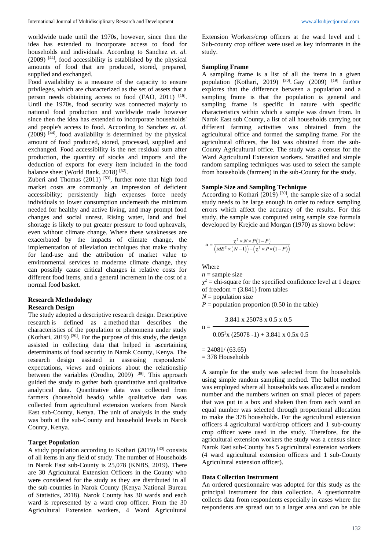worldwide trade until the 1970s, however, since then the idea has extended to incorporate access to food for households and individuals. According to Sanchez *et. al.*  $(2009)$ <sup>[44]</sup>, food accessibility is established by the physical amounts of food that are produced, stored, prepared, supplied and exchanged.

Food availability is a measure of the capacity to ensure privileges, which are characterized as the set of assets that a person needs obtaining access to food (FAO, 2011) [16]. Until the 1970s, food security was connected majorly to national food production and worldwide trade however since then the idea has extended to incorporate households' and people's access to food. According to Sanchez *et. al.*  $(2009)$  <sup>[44]</sup>, food availability is determined by the physical amount of food produced, stored, processed, supplied and exchanged. Food accessibility is the net residual sum after production, the quantity of stocks and imports and the deduction of exports for every item included in the food balance sheet (World Bank, 2018)<sup>[52]</sup>.

Zuberi and Thomas  $(2011)$  [53], further note that high food market costs are commonly an impression of deficient accessibility; persistently high expenses force needy individuals to lower consumption underneath the minimum needed for healthy and active living, and may prompt food changes and social unrest. Rising water, land and fuel shortage is likely to put greater pressure to food upheavals, even without climate change. Where these weaknesses are exacerbated by the impacts of climate change, the implementation of alleviation techniques that make rivalry for land-use and the attribution of market value to environmental services to moderate climate change, they can possibly cause critical changes in relative costs for different food items, and a general increment in the cost of a normal food basket.

### **Research Methodology Research Design**

The study adopted a descriptive research design. Descriptive research is defined as a method that describes the characteristics of the population or phenomena under study (Kothari, 2019)  $[30]$ . For the purpose of this study, the design assisted in collecting data that helped in ascertaining determinants of food security in Narok County, Kenya. The research design assisted in assessing respondents' expectations, views and opinions about the relationship between the variables (Orodho, 2009) <sup>[39]</sup>. This approach guided the study to gather both quantitative and qualitative analytical data. Quantitative data was collected from farmers (household heads) while qualitative data was collected from agricultural extension workers from Narok East sub-County, Kenya. The unit of analysis in the study was both at the sub-County and household levels in Narok County, Kenya.

### **Target Population**

A study population according to Kothari (2019) [30] consists of all items in any field of study. The number of Households in Narok East sub-County is 25,078 (KNBS, 2019). There are 30 Agricultural Extension Officers in the County who were considered for the study as they are distributed in all the sub-counties in Narok County (Kenya National Bureau of Statistics, 2018). Narok County has 30 wards and each ward is represented by a ward crop officer. From the 30 Agricultural Extension workers, 4 Ward Agricultural

Extension Workers/crop officers at the ward level and 1 Sub-county crop officer were used as key informants in the study.

#### **Sampling Frame**

A sampling frame is a list of all the items in a given population (Kothari, 2019)  $[30]$ . Gay (2009)  $[19]$  further explores that the difference between a population and a sampling frame is that the population is general and sampling frame is specific in nature with specific characteristics within which a sample was drawn from. In Narok East sub County, a list of all households carrying out different farming activities was obtained from the agricultural office and formed the sampling frame. For the agricultural officers, the list was obtained from the sub-County Agricultural office. The study was a census for the Ward Agricultural Extension workers. Stratified and simple random sampling techniques was used to select the sample from households (farmers) in the sub-County for the study.

# **Sample Size and Sampling Technique**

According to Kothari (2019)  $[30]$ , the sample size of a social study needs to be large enough in order to reduce sampling errors which affect the accuracy of the results. For this study, the sample was computed using sample size formula developed by Krejcie and Morgan (1970) as shown below:

$$
n = \frac{\chi^2 \times N \times P(1-P)}{(ME^2 \times (N-1)) + (\chi^2 \times P \times (1-P))}
$$

Where

 $n =$ sample size

 $\chi^2$  = chi-square for the specified confidence level at 1 degree of freedom  $= (3.841)$  from tables

 $N =$  population size

 $P =$  population proportion (0.50 in the table)

$$
n = \frac{3.841 \times 25078 \times 0.5 \times 0.5}{0.05^{2} \times (25078 - 1) + 3.841 \times 0.5 \times 0.5}
$$

 $= 24081/(63.65)$ 

= 378 Households

A sample for the study was selected from the households using simple random sampling method. The ballot method was employed where all households was allocated a random number and the numbers written on small pieces of papers that was put in a box and shaken then from each ward an equal number was selected through proportional allocation to make the 378 households. For the agricultural extension officers 4 agricultural ward/crop officers and 1 sub-county crop officer were used in the study. Therefore, for the agricultural extension workers the study was a census since Narok East sub-County has 5 agricultural extension workers (4 ward agricultural extension officers and 1 sub-County Agricultural extension officer).

#### **Data Collection Instrument**

An ordered questionnaire was adopted for this study as the principal instrument for data collection. A questionnaire collects data from respondents especially in cases where the respondents are spread out to a larger area and can be able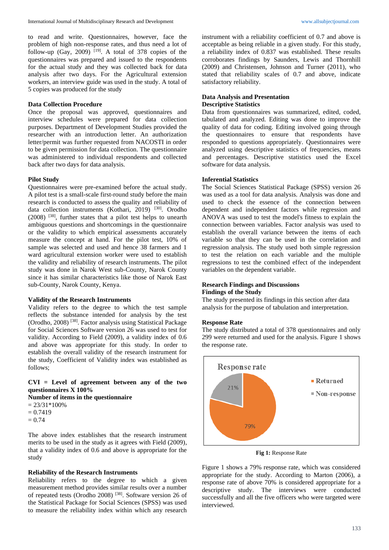to read and write. Questionnaires, however, face the problem of high non-response rates, and thus need a lot of follow-up  $(Gay, 2009)$ <sup>[19]</sup>. A total of 378 copies of the questionnaires was prepared and issued to the respondents for the actual study and they was collected back for data analysis after two days. For the Agricultural extension workers, an interview guide was used in the study. A total of 5 copies was produced for the study

## **Data Collection Procedure**

Once the proposal was approved, questionnaires and interview schedules were prepared for data collection purposes. Department of Development Studies provided the researcher with an introduction letter. An authorization letter/permit was further requested from NACOSTI in order to be given permission for data collection. The questionnaire was administered to individual respondents and collected back after two days for data analysis.

#### **Pilot Study**

Questionnaires were pre-examined before the actual study. A pilot test is a small-scale first-round study before the main research is conducted to assess the quality and reliability of data collection instruments (Kothari, 2019) [30]. Orodho (2008) [38], further states that a pilot test helps to unearth ambiguous questions and shortcomings in the questionnaire or the validity to which empirical assessments accurately measure the concept at hand. For the pilot test, 10% of sample was selected and used and hence 38 farmers and 1 ward agricultural extension worker were used to establish the validity and reliability of research instruments. The pilot study was done in Narok West sub-County, Narok County since it has similar characteristics like those of Narok East sub-County, Narok County, Kenya.

#### **Validity of the Research Instruments**

Validity refers to the degree to which the test sample reflects the substance intended for analysis by the test (Orodho, 2008) [38]. Factor analysis using Statistical Package for Social Sciences Software version 26 was used to test for validity. According to Field (2009), a validity index of 0.6 and above was appropriate for this study. In order to establish the overall validity of the research instrument for the study, Coefficient of Validity index was established as follows;

**CVI = Level of agreement between any of the two questionnaires X 100%**

**Number of items in the questionnaire**

 $= 23/31*100\%$  $= 0.7419$  $= 0.74$ 

The above index establishes that the research instrument merits to be used in the study as it agrees with Field (2009), that a validity index of 0.6 and above is appropriate for the study

#### **Reliability of the Research Instruments**

Reliability refers to the degree to which a given measurement method provides similar results over a number of repeated tests (Orodho 2008) [38]. Software version 26 of the Statistical Package for Social Sciences (SPSS) was used to measure the reliability index within which any research

instrument with a reliability coefficient of 0.7 and above is acceptable as being reliable in a given study. For this study, a reliability index of 0.837 was established. These results corroborates findings by Saunders, Lewis and Thornhill (2009) and Christensen, Johnson and Turner (2011), who stated that reliability scales of 0.7 and above, indicate satisfactory reliability.

## **Data Analysis and Presentation Descriptive Statistics**

Data from questionnaires was summarized, edited, coded, tabulated and analyzed. Editing was done to improve the quality of data for coding. Editing involved going through the questionnaires to ensure that respondents have responded to questions appropriately. Questionnaires were analyzed using descriptive statistics of frequencies, means and percentages. Descriptive statistics used the Excel software for data analysis.

### **Inferential Statistics**

The Social Sciences Statistical Package (SPSS) version 26 was used as a tool for data analysis. Analysis was done and used to check the essence of the connection between dependent and independent factors while regression and ANOVA was used to test the model's fitness to explain the connection between variables. Factor analysis was used to establish the overall variance between the items of each variable so that they can be used in the correlation and regression analysis. The study used both simple regression to test the relation on each variable and the multiple regressions to test the combined effect of the independent variables on the dependent variable.

### **Research Findings and Discussions Findings of the Study**

The study presented its findings in this section after data analysis for the purpose of tabulation and interpretation.

### **Response Rate**

The study distributed a total of 378 questionnaires and only 299 were returned and used for the analysis. Figure 1 shows the response rate.



**Fig 1:** Response Rate

Figure 1 shows a 79% response rate, which was considered appropriate for the study. According to Marton (2006), a response rate of above 70% is considered appropriate for a descriptive study. The interviews were conducted successfully and all the five officers who were targeted were interviewed.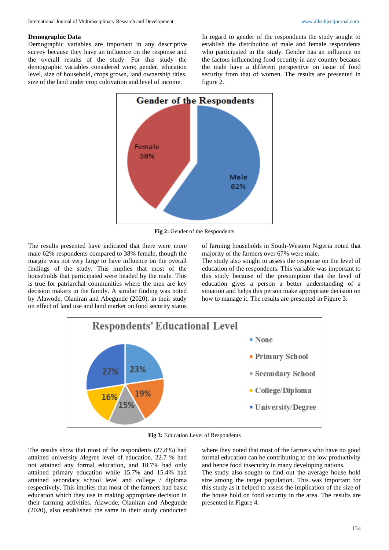#### **Demographic Data**

Demographic variables are important in any descriptive survey because they have an influence on the response and the overall results of the study. For this study the demographic variables considered were; gender, education level, size of household, crops grown, land ownership titles, size of the land under crop cultivation and level of income.

In regard to gender of the respondents the study sought to establish the distribution of male and female respondents who participated in the study. Gender has an influence on the factors influencing food security in any country because the male have a different perspective on issue of food security from that of women. The results are presented in figure 2.



**Fig 2:** Gender of the Respondents

The results presented have indicated that there were more male 62% respondents compared to 38% female, though the margin was not very large to have influence on the overall findings of the study. This implies that most of the households that participated were headed by the male. This is true for patriarchal communities where the men are key decision makers in the family. A similar finding was noted by Alawode, Olaniran and Abegunde (2020), in their study on effect of land use and land market on food security status of farming households in South-Western Nigeria noted that majority of the farmers over 67% were male.

The study also sought to assess the response on the level of education of the respondents. This variable was important to this study because of the presumption that the level of education gives a person a better understanding of a situation and helps this person make appropriate decision on how to manage it. The results are presented in Figure 3.



**Fig 3:** Education Level of Respondents

The results show that most of the respondents (27.8%) had attained university /degree level of education, 22.7 % had not attained any formal education, and 18.7% had only attained primary education while 15.7% and 15.4% had attained secondary school level and college / diploma respectively. This implies that most of the farmers had basic education which they use in making appropriate decision in their farming activities. Alawode, Olaniran and Abegunde (2020), also established the same in their study conducted where they noted that most of the farmers who have no good formal education can be contributing to the low productivity and hence food insecurity in many developing nations.

The study also sought to find out the average house hold size among the target population. This was important for this study as it helped to assess the implication of the size of the house hold on food security in the area. The results are presented in Figure 4.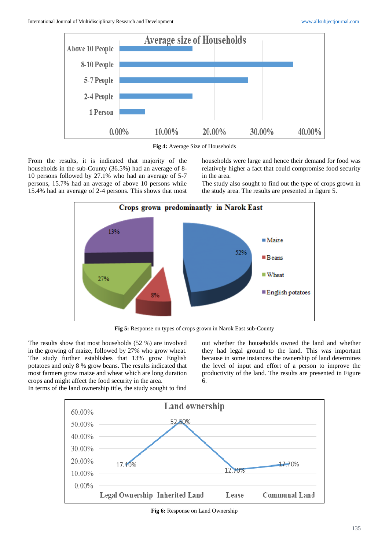



From the results, it is indicated that majority of the households in the sub-County (36.5%) had an average of 8- 10 persons followed by 27.1% who had an average of 5-7 persons, 15.7% had an average of above 10 persons while 15.4% had an average of 2-4 persons. This shows that most households were large and hence their demand for food was relatively higher a fact that could compromise food security in the area.

The study also sought to find out the type of crops grown in the study area. The results are presented in figure 5.



**Fig 5:** Response on types of crops grown in Narok East sub-County

The results show that most households (52 %) are involved in the growing of maize, followed by 27% who grow wheat. The study further establishes that 13% grow English potatoes and only 8 % grow beans. The results indicated that most farmers grow maize and wheat which are long duration crops and might affect the food security in the area. In terms of the land ownership title, the study sought to find

out whether the households owned the land and whether they had legal ground to the land. This was important because in some instances the ownership of land determines the level of input and effort of a person to improve the productivity of the land. The results are presented in Figure 6.



**Fig 6:** Response on Land Ownership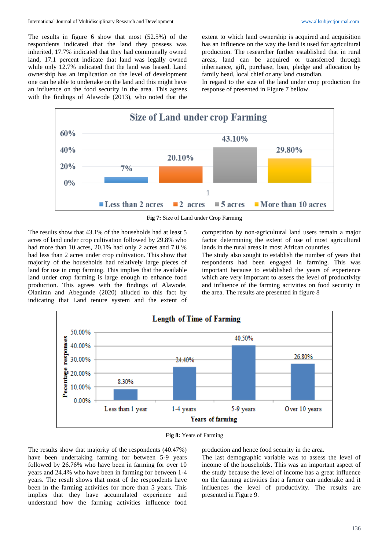The results in figure 6 show that most (52.5%) of the respondents indicated that the land they possess was inherited, 17.7% indicated that they had communally owned land, 17.1 percent indicate that land was legally owned while only 12.7% indicated that the land was leased. Land ownership has an implication on the level of development one can be able to undertake on the land and this might have an influence on the food security in the area. This agrees with the findings of Alawode (2013), who noted that the extent to which land ownership is acquired and acquisition has an influence on the way the land is used for agricultural production. The researcher further established that in rural areas, land can be acquired or transferred through inheritance, gift, purchase, loan, pledge and allocation by family head, local chief or any land custodian.

In regard to the size of the land under crop production the response of presented in Figure 7 bellow.



**Fig 7:** Size of Land under Crop Farming

The results show that 43.1% of the households had at least 5 acres of land under crop cultivation followed by 29.8% who had more than 10 acres, 20.1% had only 2 acres and 7.0 % had less than 2 acres under crop cultivation. This show that majority of the households had relatively large pieces of land for use in crop farming. This implies that the available land under crop farming is large enough to enhance food production. This agrees with the findings of Alawode, Olaniran and Abegunde (2020) alluded to this fact by indicating that Land tenure system and the extent of competition by non-agricultural land users remain a major factor determining the extent of use of most agricultural lands in the rural areas in most African countries.

The study also sought to establish the number of years that respondents had been engaged in farming. This was important because to established the years of experience which are very important to assess the level of productivity and influence of the farming activities on food security in the area. The results are presented in figure 8





The results show that majority of the respondents (40.47%) have been undertaking farming for between 5-9 years followed by 26.76% who have been in farming for over 10 years and 24.4% who have been in farming for between 1-4 years. The result shows that most of the respondents have been in the farming activities for more than 5 years. This implies that they have accumulated experience and understand how the farming activities influence food

production and hence food security in the area.

The last demographic variable was to assess the level of income of the households. This was an important aspect of the study because the level of income has a great influence on the farming activities that a farmer can undertake and it influences the level of productivity. The results are presented in Figure 9.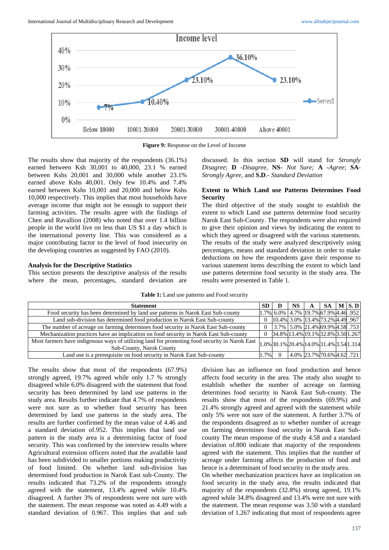

**Figure 9:** Response on the Level of Income

The results show that majority of the respondents (36.1%) earned between Ksh 30,001 to 40,000, 23.1 % earned between Kshs 20,001 and 30,000 while another 23.1% earned above Kshs 40,001. Only few 10.4% and 7.4% earned between Kshs 10,001 and 20,000 and below Kshs 10,000 respectively. This implies that most households have average income that might not be enough to support their farming activities. The results agree with the findings of Chen and Ravallion (2008) who noted that over 1.4 billion people in the world live on less than US \$1 a day which is the international poverty line. This was considered as a major contributing factor to the level of food insecurity on the developing countries as suggested by FAO (2010).

#### **Analysis for the Descriptive Statistics**

This section presents the descriptive analysis of the results where the mean, percentages, standard deviation are discussed. In this section **SD** will stand for *Strongly Disagree*; **D** -*Disagree*, **NS**- *Not Sure;* **A** -*Agree*; **SA**-*Strongly Agree,* and **S.D**.- *Standard Deviation*

## **Extent to Which Land use Patterns Determines Food Security**

The third objective of the study sought to establish the extent to which Land use patterns determine food security Narok East Sub-County. The respondents were also required to give their opinion and views by indicating the extent to which they agreed or disagreed with the various statements. The results of the study were analyzed descriptively using percentages, means and standard deviation in order to make deductions on how the respondents gave their response to various statement items describing the extent to which land use patterns determine food security in the study area. The results were presented in Table 1.

**Table 1:** Land use patterns and Food security

| <b>Statement</b>                                                                                                          | SD.  | D                                              | <b>NS</b> | A                          | -SA | $M \succeq S$ . D |
|---------------------------------------------------------------------------------------------------------------------------|------|------------------------------------------------|-----------|----------------------------|-----|-------------------|
| Food security has been determined by land use patterns in Narok East Sub-county                                           |      | $ 1.7\% $ 6.0% $ 4.7\% $ 19.7% 67.9% 4.46 .952 |           |                            |     |                   |
| Land sub-division has determined food production in Narok East Sub-county                                                 |      | 10.4% 3.0% 13.4% 73.2% 4.49 .967               |           |                            |     |                   |
| The number of acreage on farming determines food security in Narok East Sub-county                                        |      | $3.7\%$ 5.0% 21.4% 69.9% 4.58 .753             |           |                            |     |                   |
| Mechanization practices have an implication on food security in Narok East Sub-county                                     |      | 34.8% 13.4% 19.1% 32.8% 3.50 1.267             |           |                            |     |                   |
| Most farmers have indigenous ways of utilizing land for promoting food security in Narok East<br>Sub-County, Narok County |      | $1.0\%$ 30.1% 20.4% 14.0% 31.4% 3.54 1.314     |           |                            |     |                   |
| Land use is a prerequisite on food security in Narok East Sub-county                                                      | 1.7% |                                                |           | 4.0% 23.7% 70.6% 4.62 .721 |     |                   |

The results show that most of the respondents (67.9%) strongly agreed, 19.7% agreed while only 1.7 % strongly disagreed while 6.0% disagreed with the statement that food security has been determined by land use patterns in the study area. Results further indicate that 4.7% of respondents were not sure as to whether food security has been determined by land use patterns in the study area. The results are further confirmed by the mean value of 4.46 and a standard deviation of.952. This implies that land use pattern in the study area is a determining factor of food security. This was confirmed by the interview results where Agricultural extension officers noted that the available land has been subdivided to smaller portions making productivity of food limited. On whether land sub-division has determined food production in Narok East sub-County. The results indicated that 73.2% of the respondents strongly agreed with the statement, 13.4% agreed while 10.4% disagreed. A further 3% of respondents were not sure with the statement. The mean response was noted as 4.49 with a standard deviation of 0.967. This implies that and sub

division has an influence on food production and hence affects food security in the area. The study also sought to establish whether the number of acreage on farming determines food security in Narok East Sub-county. The results show that most of the respondents (69.9%) and 21.4% strongly agreed and agreed with the statement while only 5% were not sure of the statement. A further 3.7% of the respondents disagreed as to whether number of acreage on farming determines food security in Narok East Subcounty The mean response of the study 4.58 and a standard deviation of.800 indicate that majority of the respondents agreed with the statement. This implies that the number of acreage under farming affects the production of food and hence is a determinant of food security in the study area.

On whether mechanization practices have an implication on food security in the study area, the results indicated that majority of the respondents (32.8%) strong agreed, 19.1% agreed while 34.8% disagreed and 13.4% were not sure with the statement. The mean response was 3.50 with a standard deviation of 1.267 indicating that most of respondents agree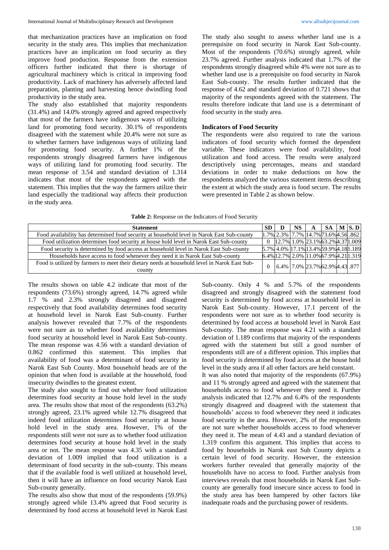that mechanization practices have an implication on food security in the study area. This implies that mechanization practices have an implication on food security as they improve food production. Response from the extension officers further indicated that there is shortage of agricultural machinery which is critical in improving food productivity. Lack of machinery has adversely affected land preparation, planting and harvesting hence dwindling food productivity in the study area.

The study also established that majority respondents (31.4%) and 14.0% strongly agreed and agreed respectively that most of the farmers have indigenous ways of utilizing land for promoting food security. 30.1% of respondents disagreed with the statement while 20.4% were not sure as to whether farmers have indigenous ways of utilizing land for promoting food security. A further 1% of the respondents strongly disagreed farmers have indigenous ways of utilizing land for promoting food security. The mean response of 3.54 and standard deviation of 1.314 indicates that most of the respondents agreed with the statement. This implies that the way the farmers utilize their land especially the traditional way affects their production in the study area.

The study also sought to assess whether land use is a prerequisite on food security in Narok East Sub-county. Most of the respondents (70.6%) strongly agreed, while 23.7% agreed. Further analysis indicated that 1.7% of the respondents strongly disagreed while 4% were not sure as to whether land use is a prerequisite on food security in Narok East Sub-county. The results further indicated that the response of 4.62 and standard deviation of 0.721 shows that majority of the respondents agreed with the statement. The results therefore indicate that land use is a determinant of food security in the study area.

## **Indicators of Food Security**

The respondents were also required to rate the various indicators of food security which formed the dependent variable. These indicators were food availability, food utilization and food access. The results were analyzed descriptively using percentages, means and standard deviations in order to make deductions on how the respondents analyzed the various statement items describing the extent at which the study area is food secure. The results were presented in Table 2 as shown below.

| Table 2: Response on the Indicators of Food Security |  |  |
|------------------------------------------------------|--|--|
|------------------------------------------------------|--|--|

| <b>Statement</b>                                                                                        | <b>SD</b> | NS. | $\mathbf{A}$                            |  | $SA$   M $ S.D $ |
|---------------------------------------------------------------------------------------------------------|-----------|-----|-----------------------------------------|--|------------------|
| Food availability has determined food security at household level in Narok East Sub-county              |           |     | $1.7\%$ 2.3% 7.7% 14.7% 73.6% 4.56 .862 |  |                  |
| Food utilization determines food security at house hold level in Narok East Sub-county                  |           |     | 0 2.7% 1.0% 23.1% 63.2% 4.37 1.009      |  |                  |
| Food security is determined by food access at household level in Narok East Sub-county                  |           |     | 5.7% 4.0% 17.1% 13.4% 59.9% 4.18 1.18 9 |  |                  |
| Households have access to food whenever they need it in Narok East Sub-county                           |           |     | 6.4% 12.7% 2.0% 11.0% 67.9% 4.21 1.319  |  |                  |
| Food is utilized by farmers to meet their dietary needs at household level in Narok East Sub-<br>countv |           |     | $6.4\%$ 7.0% 23.7% 62.9% 4.43 .877      |  |                  |

The results shown on table 4.2 indicate that most of the respondents (73.6%) strongly agreed, 14.7% agreed while 1.7 % and 2.3% strongly disagreed and disagreed respectively that food availability determines food security at household level in Narok East Sub-county. Further analysis however revealed that 7.7% of the respondents were not sure as to whether food availability determines food security at household level in Narok East Sub-county. The mean response was 4.56 with a standard deviation of 0.862 confirmed this statement. This implies that availability of food was a determinant of food security in Narok East Sub County. Most household heads are of the opinion that when food is available at the household, food insecurity dwindles to the greatest extent.

The study also sought to find out whether food utilization determines food security at house hold level in the study area. The results show that most of the respondents (63.2%) strongly agreed, 23.1% agreed while 12.7% disagreed that indeed food utilization determines food security at house hold level in the study area. However, 1% of the respondents still were not sure as to whether food utilization determines food security at house hold level in the study area or not. The mean response was 4.35 with a standard deviation of 1.009 implied that food utilization is a determinant of food security in the sub-county. This means that if the available food is well utilized at household level, then it will have an influence on food security Narok East Sub-county generally.

The results also show that most of the respondents (59.9%) strongly agreed while 13.4% agreed that Food security is determined by food access at household level in Narok East

Sub-county. Only 4 % and 5.7% of the respondents disagreed and strongly disagreed with the statement food security is determined by food access at household level in Narok East Sub-county. However, 17.1 percent of the respondents were not sure as to whether food security is determined by food access at household level in Narok East Sub-county. The mean response was 4.21 with a standard deviation of 1.189 confirms that majority of the respondents agreed with the statement but still a good number of respondents still are of a different opinion. This implies that food security is determined by food access at the house hold level in the study area if all other factors are held constant.

It was also noted that majority of the respondents (67.9%) and 11 % strongly agreed and agreed with the statement that households access to food whenever they need it. Further analysis indicated that 12.7% and 6.4% of the respondents strongly disagreed and disagreed with the statement that households' access to food whenever they need it indicates food security in the area. However, 2% of the respondents are not sure whether households access to food whenever they need it. The mean of 4.43 and a standard deviation of 1.319 confirm this argument. This implies that access to food by households in Narok east Sub County depicts a certain level of food security. However, the extension workers further revealed that generally majority of the households have no access to food. Further analysis from interviews reveals that most households in Narok East Subcounty are generally food insecure since access to food in the study area has been hampered by other factors like inadequate roads and the purchasing power of residents.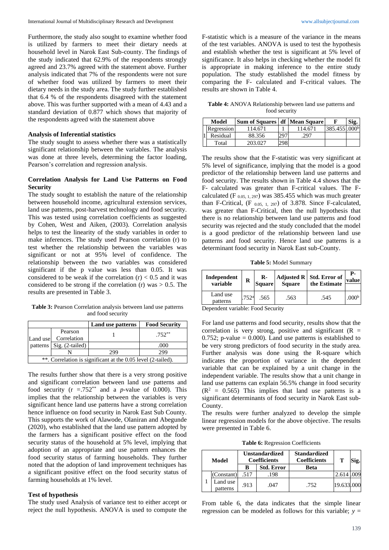Furthermore, the study also sought to examine whether food is utilized by farmers to meet their dietary needs at household level in Narok East Sub-county. The findings of the study indicated that 62.9% of the respondents strongly agreed and 23.7% agreed with the statement above. Further analysis indicated that 7% of the respondents were not sure of whether food was utilized by farmers to meet their dietary needs in the study area. The study further established that 6.4 % of the respondents disagreed with the statement above. This was further supported with a mean of 4.43 and a standard deviation of 0.877 which shows that majority of the respondents agreed with the statement above

### **Analysis of Inferential statistics**

The study sought to assess whether there was a statistically significant relationship between the variables. The analysis was done at three levels, determining the factor loading, Pearson's correlation and regression analysis.

## **Correlation Analysis for Land Use Patterns on Food Security**

The study sought to establish the nature of the relationship between household income, agricultural extension services, land use patterns, post-harvest technology and food security. This was tested using correlation coefficients as suggested by Cohen, West and Aiken, (2003). Correlation analysis helps to test the linearity of the study variables in order to make inferences. The study used Pearson correlation (r) to test whether the relationship between the variables was significant or not at 95% level of confidence. The relationship between the two variables was considered significant if the p value was less than 0.05. It was considered to be weak if the correlation  $(r) < 0.5$  and it was considered to be strong if the correlation (r) was  $> 0.5$ . The results are presented in Table 3.

**Table 3:** Pearson Correlation analysis between land use patterns and food security

|          |                                                              | Land use patterns | <b>Food Security</b> |  |  |  |  |  |
|----------|--------------------------------------------------------------|-------------------|----------------------|--|--|--|--|--|
| Land use | Pearson<br>Correlation                                       |                   | $.752***$            |  |  |  |  |  |
|          | patterns   Sig. (2-tailed)                                   |                   | .000                 |  |  |  |  |  |
|          |                                                              | 299               | 299                  |  |  |  |  |  |
|          | **. Correlation is significant at the 0.05 level (2-tailed). |                   |                      |  |  |  |  |  |

The results further show that there is a very strong positive and significant correlation between land use patterns and food security ( $r = .752^{**}$  and a *p*-value of 0.000). This implies that the relationship between the variables is very significant hence land use patterns have a strong correlation hence influence on food security in Narok East Sub County. This supports the work of Alawode, Olaniran and Abegunde (2020), who established that the land use pattern adopted by the farmers has a significant positive effect on the food security status of the household at 5% level, implying that adoption of an appropriate and use pattern enhances the food security status of farming households. They further noted that the adoption of land improvement techniques has a significant positive effect on the food security status of farming households at 1% level.

#### **Test of hypothesis**

The study used Analysis of variance test to either accept or reject the null hypothesis. ANOVA is used to compute the F-statistic which is a measure of the variance in the means of the test variables. ANOVA is used to test the hypothesis and establish whether the test is significant at 5% level of significance. It also helps in checking whether the model fit is appropriate in making inference to the entire study population. The study established the model fitness by comparing the F- calculated and F-critical values. The results are shown in Table 4.

**Table 4:** ANOVA Relationship between land use patterns and food security

| Model      | Sum of Squares   df   Mean Square |     |         |                           | Sig. |
|------------|-----------------------------------|-----|---------|---------------------------|------|
| Regression | 114.671                           |     | 114.671 | 385.455 .000 <sup>b</sup> |      |
| Residual   | 88.356                            | 297 | 297     |                           |      |
| Total      | 203.027                           | 298 |         |                           |      |

The results show that the F-statistic was very significant at 5% level of significance, implying that the model is a good predictor of the relationship between land use patterns and food security. The results shown in Table 4.4 shows that the F- calculated was greater than F-critical values. The Fcalculated (F  $_{0.05, 1, 297}$ ) was 385.455 which was much greater than F-Critical,  $(F_{0.05, 1, 297})$  of 3.878. Since F-calculated, was greater than F-Critical, then the null hypothesis that there is no relationship between land use patterns and food security was rejected and the study concluded that the model is a good predictor of the relationship between land use patterns and food security. Hence land use patterns is a determinant food security in Narok East sub-County.

**Table 5:** Model Summary

| Independent<br>variable | $\mathbf{R}$<br>R<br><b>Square</b> |      | Square | Adjusted R   Std. Error of<br>the Estimate | value             |
|-------------------------|------------------------------------|------|--------|--------------------------------------------|-------------------|
| Land use<br>patterns    | .752 <sup>a</sup>                  | .565 | .563   | .545                                       | .000 <sup>b</sup> |

Dependent variable: Food Security

For land use patterns and food security, results show that the correlation is very strong, positive and significant  $(R =$ 0.752; p-value  $= 0.000$ ). Land use patterns is established to be very strong predictors of food security in the study area. Further analysis was done using the R-square which indicates the proportion of variance in the dependent variable that can be explained by a unit change in the independent variable. The results show that a unit change in land use patterns can explain 56.5% change in food security  $(R<sup>2</sup> = 0.565)$  This implies that land use patterns is a significant determinants of food security in Narok East sub-County.

The results were further analyzed to develop the simple linear regression models for the above objective. The results were presented in Table 6.

**Table 6:** Regression Coefficients

|  | Model                |      | <b>Unstandardized</b><br><b>Coefficients</b> | <b>Standardized</b><br><b>Coefficients</b> | т          |  |
|--|----------------------|------|----------------------------------------------|--------------------------------------------|------------|--|
|  |                      | B    | <b>Std. Error</b>                            | Beta                                       |            |  |
|  | (Constant)           | .517 | .198                                         |                                            | 2.614      |  |
|  | Land use<br>patterns | .913 | .047                                         | .752                                       | 19.633.000 |  |

From table 6, the data indicates that the simple linear regression can be modeled as follows for this variable;  $y =$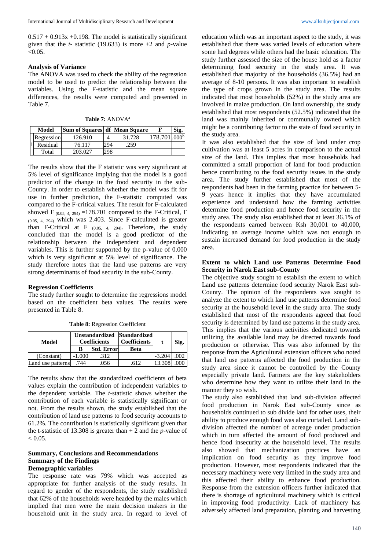$0.517 + 0.913x + 0.198$ . The model is statistically significant given that the *t-* statistic (19.633) is more +2 and *p*-value  $< 0.05$ .

#### **Analysis of Variance**

The ANOVA was used to check the ability of the regression model to be used to predict the relationship between the variables. Using the F-statistic and the mean square differences, the results were computed and presented in Table 7.

**Table 7:** ANOVA<sup>a</sup>

| Model      | <b>Sum of Squares df Mean Square</b> |     |        | Sig. |
|------------|--------------------------------------|-----|--------|------|
| Regression | 126.910                              |     | 31.728 |      |
| Residual   | 76.117                               | 294 | .259   |      |
| Total      | 203.027                              | 298 |        |      |

The results show that the F statistic was very significant at 5% level of significance implying that the model is a good predictor of the change in the food security in the sub-County. In order to establish whether the model was fit for use in further prediction, the F-statistic computed was compared to the F-critical values. The result for F-calculated showed F  $(0.05, 4, 294)$  = 178.701 compared to the F-Critical, F (0.05, 4, 294) which was 2.403. Since F-calculated is greater than F-Critical at F  $_{(0.05, 4, 294)}$ . Therefore, the study concluded that the model is a good predictor of the relationship between the independent and dependent variables. This is further supported by the p-value of 0.000 which is very significant at 5% level of significance. The study therefore notes that the land use patterns are very strong determinants of food security in the sub-County.

#### **Regression Coefficients**

The study further sought to determine the regressions model based on the coefficient beta values. The results were presented in Table 8.

| Model             |       | Unstandardized<br><b>Coefficients</b> | <b>Standardized</b><br><b>Coefficients</b> |          | Sig. |
|-------------------|-------|---------------------------------------|--------------------------------------------|----------|------|
|                   | B     | Std. Error                            | Beta                                       |          |      |
| (Constant)        | 1.000 | .312                                  |                                            | $-3.204$ |      |
| Land use patterns | 744   | 056                                   |                                            |          |      |

**Table 8:** Regression Coefficient

The results show that the standardized coefficients of beta values explain the contribution of independent variables to the dependent variable. The *t-*statistic shows whether the contribution of each variable is statistically significant or not. From the results shown, the study established that the contribution of land use patterns to food security accounts to 61.2%. The contribution is statistically significant given that the t-statistic of 13.308 is greater than  $+ 2$  and the *p*-value of  $< 0.05$ .

## **Summary, Conclusions and Recommendations Summary of the Findings Demographic variables**

The response rate was 79% which was accepted as appropriate for further analysis of the study results. In regard to gender of the respondents, the study established that 62% of the households were headed by the males which implied that men were the main decision makers in the household unit in the study area. In regard to level of education which was an important aspect to the study, it was established that there was varied levels of education where some had degrees while others had the basic education. The study further assessed the size of the house hold as a factor determining food security in the study area. It was established that majority of the households (36.5%) had an average of 8-10 persons. It was also important to establish the type of crops grown in the study area. The results indicated that most households (52%) in the study area are involved in maize production. On land ownership, the study established that most respondents (52.5%) indicated that the land was mainly inherited or communally owned which might be a contributing factor to the state of food security in the study area.

It was also established that the size of land under crop cultivation was at least 5 acres in comparison to the actual size of the land. This implies that most households had committed a small proportion of land for food production hence contributing to the food security issues in the study area. The study further established that most of the respondents had been in the farming practice for between 5- 9 years hence it implies that they have accumulated experience and understand how the farming activities determine food production and hence food security in the study area. The study also established that at least 36.1% of the respondents earned between Ksh 30,001 to 40,000, indicating an average income which was not enough to sustain increased demand for food production in the study area.

## **Extent to which Land use Patterns Determine Food Security in Narok East sub-County**

The objective study sought to establish the extent to which Land use patterns determine food security Narok East sub-County. The opinion of the respondents was sought to analyze the extent to which land use patterns determine food security at the household level in the study area. The study established that most of the respondents agreed that food security is determined by land use patterns in the study area. This implies that the various activities dedicated towards utilizing the available land may be directed towards food production or otherwise. This was also informed by the response from the Agricultural extension officers who noted that land use patterns affected the food production in the study area since it cannot be controlled by the County especially private land. Farmers are the key stakeholders who determine how they want to utilize their land in the manner they so wish.

The study also established that land sub-division affected food production in Narok East sub-County since as households continued to sub divide land for other uses, their ability to produce enough food was also curtailed. Land subdivision affected the number of acreage under production which in turn affected the amount of food produced and hence food insecurity at the household level. The results also showed that mechanization practices have an implication on food security as they improve food production. However, most respondents indicated that the necessary machinery were very limited in the study area and this affected their ability to enhance food production. Response from the extension officers further indicated that there is shortage of agricultural machinery which is critical in improving food productivity. Lack of machinery has adversely affected land preparation, planting and harvesting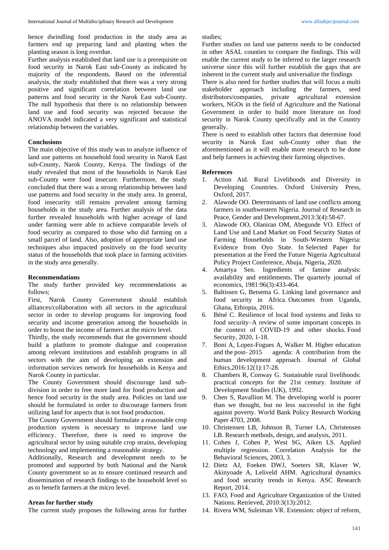hence dwindling food production in the study area as farmers end up preparing land and planting when the planting season is long overdue.

Further analysis established that land use is a prerequisite on food security in Narok East sub-County as indicated by majority of the respondents. Based on the inferential analysis, the study established that there was a very strong positive and significant correlation between land use patterns and food security in the Narok East sub-County. The null hypothesis that there is no relationship between land use and food security was rejected because the ANOVA model indicated a very significant and statistical relationship between the variables.

## **Conclusions**

The main objective of this study was to analyze influence of land use patterns on household food security in Narok East sub-County, Narok County, Kenya. The findings of the study revealed that most of the households in Narok East sub-County were food insecure. Furthermore, the study concluded that there was a strong relationship between land use patterns and food security in the study area. In general, food insecurity still remains prevalent among farming households in the study area. Further analysis of the data further revealed households with higher acreage of land under farming were able to achieve comparable levels of food security as compared to those who did farming on a small parcel of land. Also, adoption of appropriate land use techniques also impacted positively on the food security status of the households that took place in farming activities in the study area generally.

### **Recommendations**

The study further provided key recommendations as follows;

First, Narok County Government should establish alliances/collaboration with all sectors in the agricultural sector in order to develop programs for improving food security and income generation among the households in order to boost the income of farmers at the micro level.

Thirdly, the study recommends that the government should build a platform to promote dialogue and cooperation among relevant institutions and establish programs in all sectors with the aim of developing an extension and information services network for households in Kenya and Narok County in particular.

The County Government should discourage land subdivision in order to free more land for food production and hence food security in the study area. Policies on land use should be formulated in order to discourage farmers from utilizing land for aspects that is not food production.

The County Government should formulate a reasonable crop production system is necessary to improve land use efficiency. Therefore, there is need to improve the agricultural sector by using suitable crop strains, developing technology and implementing a reasonable strategy.

Additionally, Research and development needs to be promoted and supported by both National and the Narok County government so as to ensure continued research and dissemination of research findings to the household level so as to benefit farmers at the micro level.

## **Areas for further study**

The current study proposes the following areas for further

studies;

Further studies on land use patterns needs to be conducted in other ASAL counties to compare the findings. This will enable the current study to be inferred to the larger research universe since this will further establish the gaps that are inherent in the current study and universalize the findings

There is also need for further studies that will focus a multi stakeholder approach including the farmers, seed distributors/companies, private agricultural extension workers, NGOs in the field of Agriculture and the National Government in order to build more literature on food security in Narok County specifically and in the Country generally.

There is need to establish other factors that determine food security in Narok East sub-County other than the aforementioned as it will enable more research to be done and help farmers in achieving their farming objectives.

### **References**

- 1. Action Aid. Rural Livelihoods and Diversity in Developing Countries. Oxford University Press, Oxford, 2017.
- 2. Alawode OO. Determinants of land use conflicts among farmers in southwestern Nigeria. Journal of Research in Peace, Gender and Development,2013:3(4):58-67.
- 3. Alawode OO, Olaniran OM, Abegunde VO. Effect of Land Use and Land Market on Food Security Status of Farming Households in South-Western Nigeria: Evidence from Oyo State. In Selected Paper for presentation at the Feed the Future Nigeria Agricultural Policy Project Conference, Abuja, Nigeria, 2020.
- 4. Amartya Sen. Ingredients of famine analysis: availability and entitlements. The quarterly journal of economics, 1981:96(3):433-464.
- 5. Baltissen G, Betsema G. Linking land governance and food security in Africa. Outcomes from Uganda, Ghana, Ethiopia, 2016.
- 6. Béné C. Resilience of local food systems and links to food security–A review of some important concepts in the context of COVID-19 and other shocks. Food Security, 2020, 1-18.
- 7. Boni A, Lopez-Fogues A, Walker M. Higher education and the post- 2015 agenda: A contribution from the human development approach. Journal of Global Ethics,2016:12(1):17-28.
- 8. Chambers R, Conway G. Sustainable rural livelihoods: practical concepts for the 21st century. Institute of Development Studies (UK), 1992.
- 9. Chen S, Ravallion M. The developing world is poorer than we thought, but no less successful in the fight against poverty. World Bank Policy Research Working Paper 4703, 2008.
- 10. Christensen LB, Johnson B, Turner LA, Christensen LB. Research methods, design, and analysis, 2011.
- 11. Cohen J, Cohen P, West SG, Aiken LS. Applied multiple regression. Correlation Analysis for the Behavioral Sciences, 2003, 3.
- 12. Dietz AJ, Foeken DWJ, Soeters SR, Klaver W, Akinyoade A, Leliveld AHM. Agricultural dynamics and food security trends in Kenya. ASC Research Report, 2014.
- 13. FAO, Food and Agriculture Organization of the United Nations. Retrieved, 2010:3(13):2012.
- 14. Rivera WM, Suleiman VR. Extension: object of reform,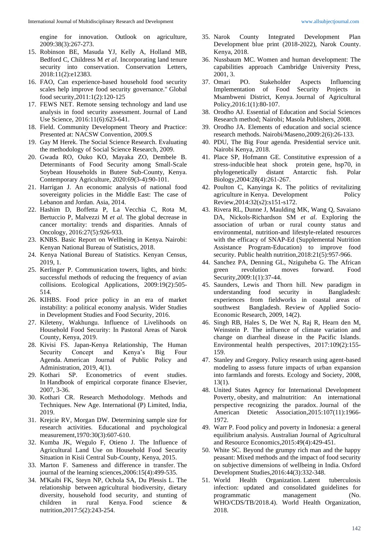engine for innovation. Outlook on agriculture, 2009:38(3):267-273.

- 15. Robinson BE, Masuda YJ, Kelly A, Holland MB, Bedford C, Childress M *et al*. Incorporating land tenure security into conservation. Conservation Letters, 2018:11(2):e12383.
- 16. FAO, Can experience-based household food security scales help improve food security governance." Global food security,2011:1(2):120-125
- 17. FEWS NET. Remote sensing technology and land use analysis in food security assessment. Journal of Land Use Science, 2016:11(6):623-641.
- 18. Field. Community Development Theory and Practice: Presented at: NACSW Convention, 2009.S
- 19. Gay M Herek. The Social Science Research. Evaluating the methodology of Social Science Research, 2009.
- 20. Gwada RO, Ouko KO, Mayaka ZO, Dembele B. Determinants of Food Security among Small-Scale Soybean Households in Butere Sub-County, Kenya. Contemporary Agriculture, 2020:69(3-4):90-101.
- 21. Harrigan J. An economic analysis of national food sovereignty policies in the Middle East: The case of Lebanon and Jordan. Asia, 2014.
- 22. Hashim D, Boffetta P, La Vecchia C, Rota M, Bertuccio P, Malvezzi M *et al*. The global decrease in cancer mortality: trends and disparities. Annals of Oncology, 2016:27(5):926-933.
- 23. KNBS. Basic Report on Wellbeing in Kenya. Nairobi: Kenyan National Bureau of Statistics, 2018.
- 24. Kenya National Bureau of Statistics. Kenyan Census, 2019, 1.
- 25. Kerlinger P. Communication towers, lights, and birds: successful methods of reducing the frequency of avian collisions. Ecological Applications, 2009:19(2):505- 514.
- 26. KIHBS. Food price policy in an era of market instability: a political economy analysis. Wider Studies in Development Studies and Food Security, 2016.
- 27. Kileteny, Wakhungu. Influence of Livelihoods on Household Food Security: In Pastoral Areas of Narok County, Kenya, 2019.
- 28. Kivisi FS. Japan-Kenya Relationship, The Human Security Concept and Kenya's Big Four Agenda. American Journal of Public Policy and Administration, 2019, 4(1).
- 29. Kothari SP. Econometrics of event studies. In Handbook of empirical corporate finance Elsevier*,* 2007, 3-36.
- 30. Kothari CR. Research Methodology. Methods and Techniques. New Age. International (P) Limited, India, 2019.
- 31. Krejcie RV, Morgan DW. Determining sample size for research activities. Educational and psychological measurement,1970:30(3):607-610.
- 32. Kumba JK, Wegulo F, Otieno J. The Influence of Agricultural Land Use on Household Food Security Situation in Kisii Central Sub-County, Kenya, 2015.
- 33. Marton F. Sameness and difference in transfer. The journal of the learning sciences,2006:15(4):499-535.
- 34. M'Kaibi FK, Steyn NP, Ochola SA, Du Plessis L. The relationship between agricultural biodiversity, dietary diversity, household food security, and stunting of children in rural Kenya. Food science & nutrition,2017:5(2):243-254.
- 35. Narok County Integrated Development Plan Development blue print (2018-2022), Narok County. Kenya, 2018.
- 36. Nussbaum MC. Women and human development: The capabilities approach Cambridge University Press, 2001, 3.
- 37. Omari PO. Stakeholder Aspects Influencing Implementation of Food Security Projects in Msambweni District, Kenya. Journal of Agricultural Policy,2016:1(1):80-107.
- 38. Orodho AJ. Essential of Education and Social Sciences Research method; Nairobi; Masola Publishers, 2008.
- 39. Orodho JA. Elements of education and social science research methods. Nairobi/Maseno,2009:2(6):26-133.
- 40. PDU, The Big Four agenda. Presidential service unit. Nairobi Kenya, 2018.
- 41. Place SP, Hofmann GE. Constitutive expression of a stress-inducible heat shock protein gene, hsp70, in phylogenetically distant Antarctic fish. Polar Biology,2004:28(4):261-267.
- 42. Poulton C, Kanyinga K. The politics of revitalizing agriculture in Kenya. Development Policy Review,2014:32(s2):s151-s172.
- 43. Rivera RL, Dunne J, Maulding MK, Wang Q, Savaiano DA, Nickols-Richardson SM *et al*. Exploring the association of urban or rural county status and environmental, nutrition-and lifestyle-related resources with the efficacy of SNAP-Ed (Supplemental Nutrition Assistance Program-Education) to improve food security. Public health nutrition, 2018: 21(5): 957-966.
- 44. Sanchez PA, Denning GL, Nziguheba G. The African green revolution moves forward. Food Security,2009:1(1):37-44.
- 45. Saunders, Lewis and Thorn hill. New paradigm in understanding food security in Bangladesh: experiences from fieldworks in coastal areas of southwest Bangladesh. Review of Applied Socio-Economic Research, 2009, 14(2).
- 46. Singh RB, Hales S, De Wet N, Raj R, Hearn den M, Weinstein P. The influence of climate variation and change on diarrheal disease in the Pacific Islands. Environmental health perspectives, 2017:109(2):155- 159.
- 47. Stanley and Gregory. Policy research using agent-based modeling to assess future impacts of urban expansion into farmlands and forests. Ecology and Society, 2008, 13(1).
- 48. United States Agency for International Development Poverty, obesity, and malnutrition: An international perspective recognizing the paradox. Journal of the American Dietetic Association*,*2015:107(11):1966- 1972.
- 49. Warr P. Food policy and poverty in Indonesia: a general equilibrium analysis. Australian Journal of Agricultural and Resource Economics,2015:49(4):429-451.
- 50. White SC. Beyond the grumpy rich man and the happy peasant: Mixed methods and the impact of food security on subjective dimensions of wellbeing in India. Oxford Development Studies,2016:44(3):332-348.
- 51. World Health Organization. Latent tuberculosis infection: updated and consolidated guidelines for programmatic management (No. WHO/CDS/TB/2018.4). World Health Organization, 2018.